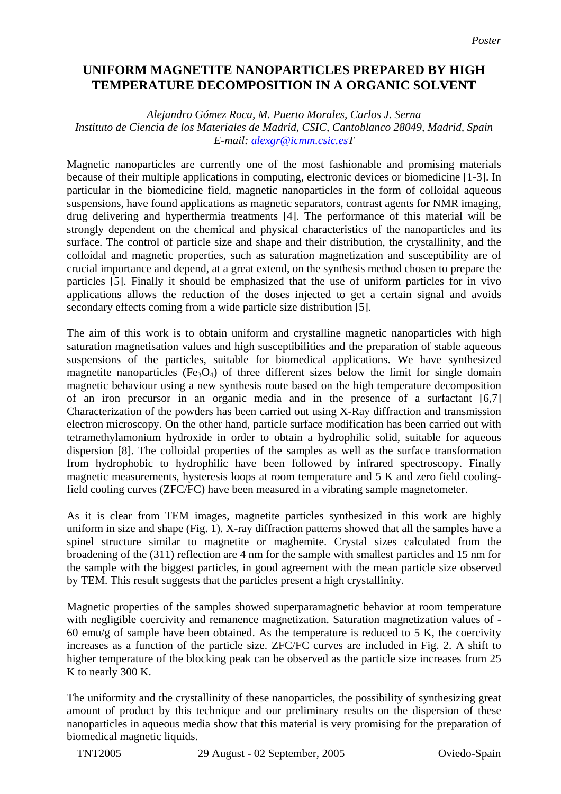## **UNIFORM MAGNETITE NANOPARTICLES PREPARED BY HIGH TEMPERATURE DECOMPOSITION IN A ORGANIC SOLVENT**

## *Alejandro Gómez Roca, M. Puerto Morales, Carlos J. Serna Instituto de Ciencia de los Materiales de Madrid, CSIC, Cantoblanco 28049, Madrid, Spain E-mail: [alexgr@icmm.csic.esT](mailto:alexgr@icmm.csic.es)*

Magnetic nanoparticles are currently one of the most fashionable and promising materials because of their multiple applications in computing, electronic devices or biomedicine [1-3]. In particular in the biomedicine field, magnetic nanoparticles in the form of colloidal aqueous suspensions, have found applications as magnetic separators, contrast agents for NMR imaging, drug delivering and hyperthermia treatments [4]. The performance of this material will be strongly dependent on the chemical and physical characteristics of the nanoparticles and its surface. The control of particle size and shape and their distribution, the crystallinity, and the colloidal and magnetic properties, such as saturation magnetization and susceptibility are of crucial importance and depend, at a great extend, on the synthesis method chosen to prepare the particles [5]. Finally it should be emphasized that the use of uniform particles for in vivo applications allows the reduction of the doses injected to get a certain signal and avoids secondary effects coming from a wide particle size distribution [5].

The aim of this work is to obtain uniform and crystalline magnetic nanoparticles with high saturation magnetisation values and high susceptibilities and the preparation of stable aqueous suspensions of the particles, suitable for biomedical applications. We have synthesized magnetite nanoparticles ( $Fe<sub>3</sub>O<sub>4</sub>$ ) of three different sizes below the limit for single domain magnetic behaviour using a new synthesis route based on the high temperature decomposition of an iron precursor in an organic media and in the presence of a surfactant [6,7] Characterization of the powders has been carried out using X-Ray diffraction and transmission electron microscopy. On the other hand, particle surface modification has been carried out with tetramethylamonium hydroxide in order to obtain a hydrophilic solid, suitable for aqueous dispersion [8]. The colloidal properties of the samples as well as the surface transformation from hydrophobic to hydrophilic have been followed by infrared spectroscopy. Finally magnetic measurements, hysteresis loops at room temperature and 5 K and zero field coolingfield cooling curves (ZFC/FC) have been measured in a vibrating sample magnetometer.

As it is clear from TEM images, magnetite particles synthesized in this work are highly uniform in size and shape (Fig. 1). X-ray diffraction patterns showed that all the samples have a spinel structure similar to magnetite or maghemite. Crystal sizes calculated from the broadening of the (311) reflection are 4 nm for the sample with smallest particles and 15 nm for the sample with the biggest particles, in good agreement with the mean particle size observed by TEM. This result suggests that the particles present a high crystallinity.

Magnetic properties of the samples showed superparamagnetic behavior at room temperature with negligible coercivity and remanence magnetization. Saturation magnetization values of - 60 emu/g of sample have been obtained. As the temperature is reduced to 5 K, the coercivity increases as a function of the particle size. ZFC/FC curves are included in Fig. 2. A shift to higher temperature of the blocking peak can be observed as the particle size increases from 25 K to nearly 300 K.

The uniformity and the crystallinity of these nanoparticles, the possibility of synthesizing great amount of product by this technique and our preliminary results on the dispersion of these nanoparticles in aqueous media show that this material is very promising for the preparation of biomedical magnetic liquids.